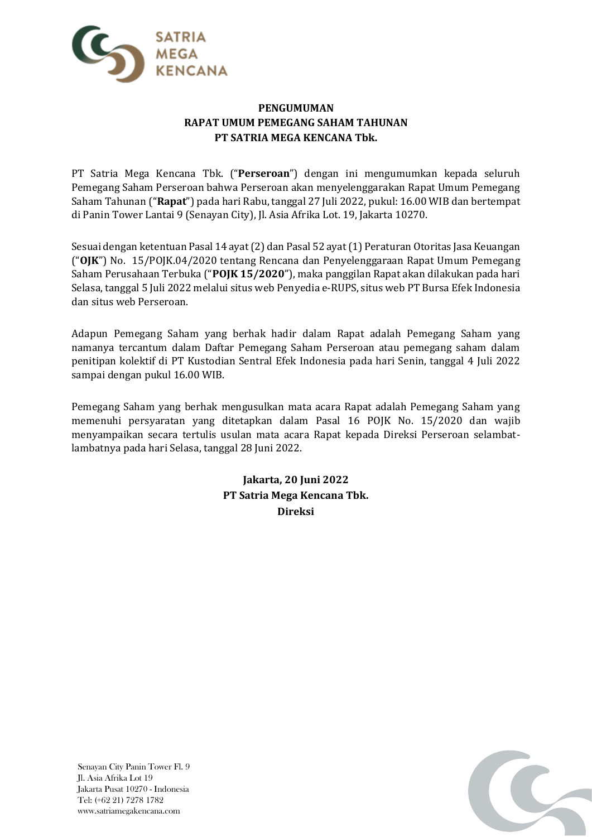

## **PENGUMUMAN RAPAT UMUM PEMEGANG SAHAM TAHUNAN PT SATRIA MEGA KENCANA Tbk.**

PT Satria Mega Kencana Tbk. ("**Perseroan**") dengan ini mengumumkan kepada seluruh Pemegang Saham Perseroan bahwa Perseroan akan menyelenggarakan Rapat Umum Pemegang Saham Tahunan ("**Rapat**") pada hari Rabu, tanggal 27 Juli 2022, pukul: 16.00 WIB dan bertempat di Panin Tower Lantai 9 (Senayan City), Jl. Asia Afrika Lot. 19, Jakarta 10270.

Sesuai dengan ketentuan Pasal 14 ayat (2) dan Pasal 52 ayat (1) Peraturan Otoritas Jasa Keuangan ("**OJK**") No. 15/POJK.04/2020 tentang Rencana dan Penyelenggaraan Rapat Umum Pemegang Saham Perusahaan Terbuka ("**POJK 15/2020**"), maka panggilan Rapat akan dilakukan pada hari Selasa, tanggal 5 Juli 2022 melalui situs web Penyedia e-RUPS, situs web PT Bursa Efek Indonesia dan situs web Perseroan.

Adapun Pemegang Saham yang berhak hadir dalam Rapat adalah Pemegang Saham yang namanya tercantum dalam Daftar Pemegang Saham Perseroan atau pemegang saham dalam penitipan kolektif di PT Kustodian Sentral Efek Indonesia pada hari Senin, tanggal 4 Juli 2022 sampai dengan pukul 16.00 WIB.

Pemegang Saham yang berhak mengusulkan mata acara Rapat adalah Pemegang Saham yang memenuhi persyaratan yang ditetapkan dalam Pasal 16 POJK No. 15/2020 dan wajib menyampaikan secara tertulis usulan mata acara Rapat kepada Direksi Perseroan selambatlambatnya pada hari Selasa, tanggal 28 Juni 2022.

> **Jakarta, 20 Juni 2022 PT Satria Mega Kencana Tbk. Direksi**



Senayan City Panin Tower Fl. 9 Jl. Asia Afrika Lot 19 Jakarta Pusat 10270 - Indonesia Tel: (+62 21) 7278 1782 www.satriamegakencana.com